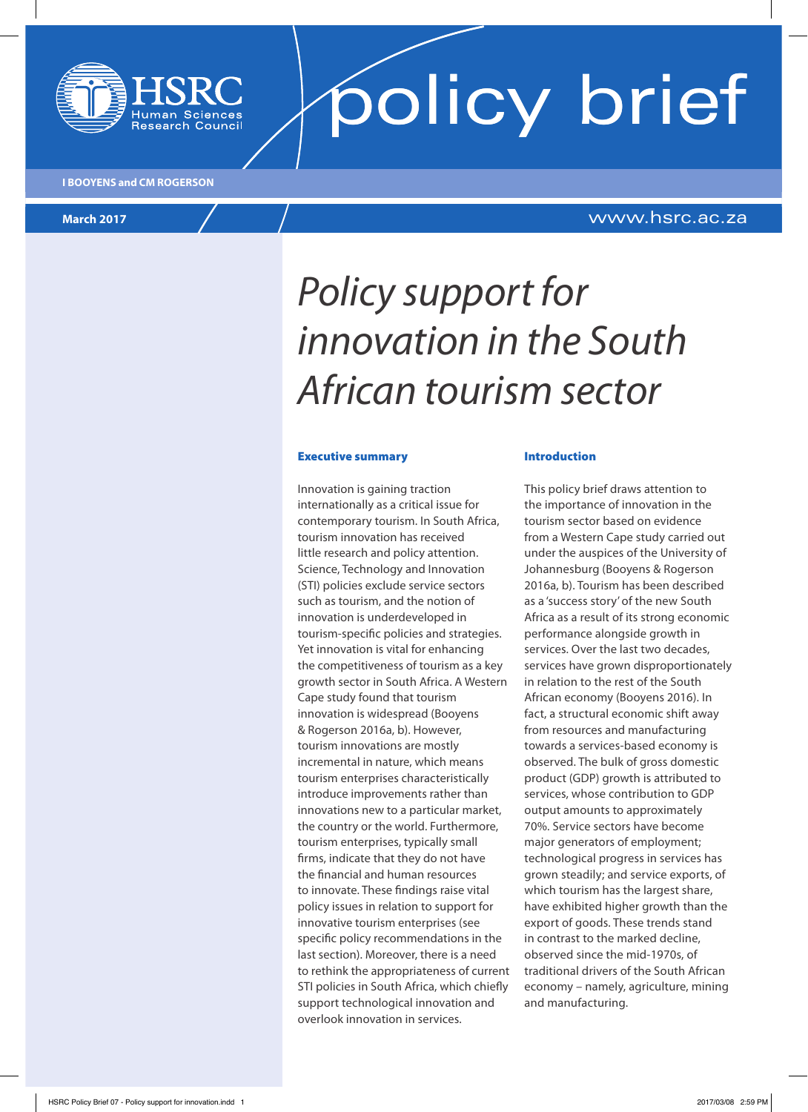

**policy brief** 

**I BOOYENS and CM ROGERSON**

**March 2017** www.hsrc.ac.za

# *Policy support for innovation in the South African tourism sector*

#### Executive summary

Innovation is gaining traction internationally as a critical issue for contemporary tourism. In South Africa, tourism innovation has received little research and policy attention. Science, Technology and Innovation (STI) policies exclude service sectors such as tourism, and the notion of innovation is underdeveloped in tourism-specific policies and strategies. Yet innovation is vital for enhancing the competitiveness of tourism as a key growth sector in South Africa. A Western Cape study found that tourism innovation is widespread (Booyens & Rogerson 2016a, b). However, tourism innovations are mostly incremental in nature, which means tourism enterprises characteristically introduce improvements rather than innovations new to a particular market, the country or the world. Furthermore, tourism enterprises, typically small firms, indicate that they do not have the financial and human resources to innovate. These findings raise vital policy issues in relation to support for innovative tourism enterprises (see specific policy recommendations in the last section). Moreover, there is a need to rethink the appropriateness of current STI policies in South Africa, which chiefly support technological innovation and overlook innovation in services.

#### Introduction

This policy brief draws attention to the importance of innovation in the tourism sector based on evidence from a Western Cape study carried out under the auspices of the University of Johannesburg (Booyens & Rogerson 2016a, b). Tourism has been described as a 'success story' of the new South Africa as a result of its strong economic performance alongside growth in services. Over the last two decades, services have grown disproportionately in relation to the rest of the South African economy (Booyens 2016). In fact, a structural economic shift away from resources and manufacturing towards a services-based economy is observed. The bulk of gross domestic product (GDP) growth is attributed to services, whose contribution to GDP output amounts to approximately 70%. Service sectors have become major generators of employment; technological progress in services has grown steadily; and service exports, of which tourism has the largest share, have exhibited higher growth than the export of goods. These trends stand in contrast to the marked decline, observed since the mid-1970s, of traditional drivers of the South African economy – namely, agriculture, mining and manufacturing.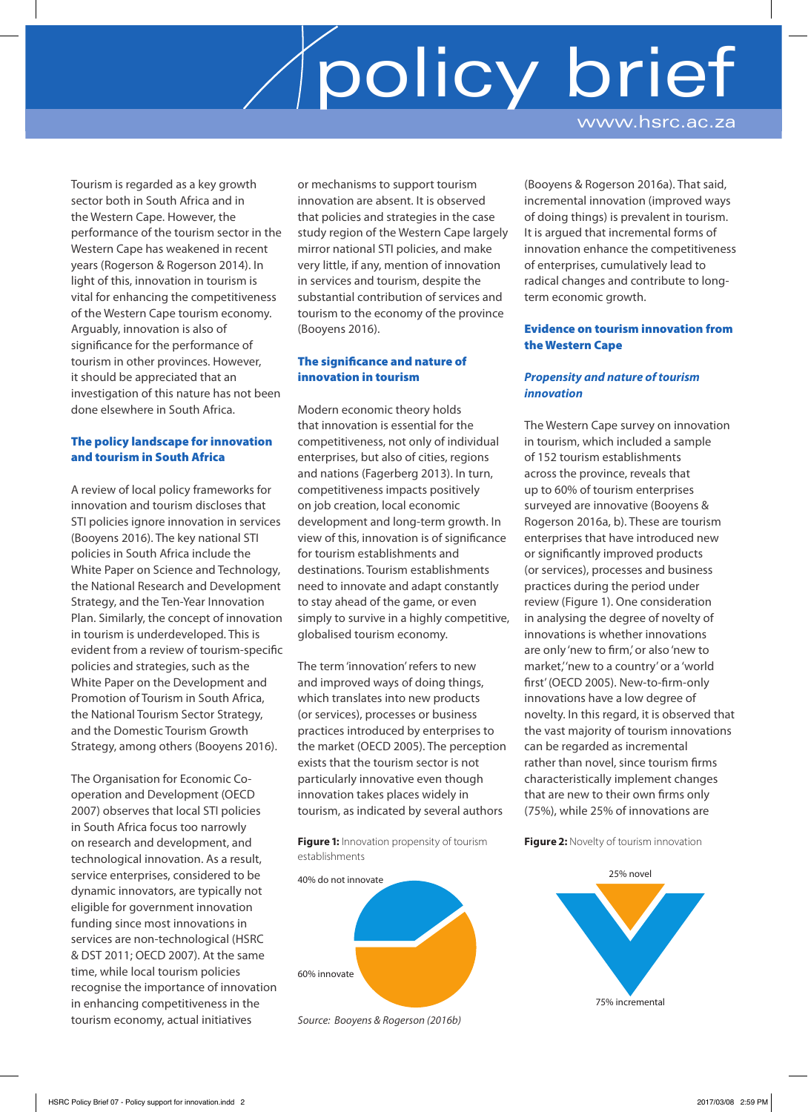# policy brief www.hsrc.ac.za

Tourism is regarded as a key growth sector both in South Africa and in the Western Cape. However, the performance of the tourism sector in the Western Cape has weakened in recent years (Rogerson & Rogerson 2014). In light of this, innovation in tourism is vital for enhancing the competitiveness of the Western Cape tourism economy. Arguably, innovation is also of significance for the performance of tourism in other provinces. However, it should be appreciated that an investigation of this nature has not been done elsewhere in South Africa.

### The policy landscape for innovation and tourism in South Africa

A review of local policy frameworks for innovation and tourism discloses that STI policies ignore innovation in services (Booyens 2016). The key national STI policies in South Africa include the White Paper on Science and Technology, the National Research and Development Strategy, and the Ten-Year Innovation Plan. Similarly, the concept of innovation in tourism is underdeveloped. This is evident from a review of tourism-specific policies and strategies, such as the White Paper on the Development and Promotion of Tourism in South Africa, the National Tourism Sector Strategy, and the Domestic Tourism Growth Strategy, among others (Booyens 2016).

The Organisation for Economic Cooperation and Development (OECD 2007) observes that local STI policies in South Africa focus too narrowly on research and development, and technological innovation. As a result, service enterprises, considered to be dynamic innovators, are typically not eligible for government innovation funding since most innovations in services are non-technological (HSRC & DST 2011; OECD 2007). At the same time, while local tourism policies recognise the importance of innovation in enhancing competitiveness in the tourism economy, actual initiatives

or mechanisms to support tourism innovation are absent. It is observed that policies and strategies in the case study region of the Western Cape largely mirror national STI policies, and make very little, if any, mention of innovation in services and tourism, despite the substantial contribution of services and tourism to the economy of the province (Booyens 2016).

## The significance and nature of innovation in tourism

Modern economic theory holds that innovation is essential for the competitiveness, not only of individual enterprises, but also of cities, regions and nations (Fagerberg 2013). In turn, competitiveness impacts positively on job creation, local economic development and long-term growth. In view of this, innovation is of significance for tourism establishments and destinations. Tourism establishments need to innovate and adapt constantly to stay ahead of the game, or even simply to survive in a highly competitive, globalised tourism economy.

The term 'innovation' refers to new and improved ways of doing things, which translates into new products (or services), processes or business practices introduced by enterprises to the market (OECD 2005). The perception exists that the tourism sector is not particularly innovative even though innovation takes places widely in tourism, as indicated by several authors

**Figure 1:** Innovation propensity of tourism establishments



*Source: Booyens & Rogerson (2016b)*

(Booyens & Rogerson 2016a). That said, incremental innovation (improved ways of doing things) is prevalent in tourism. It is argued that incremental forms of innovation enhance the competitiveness of enterprises, cumulatively lead to radical changes and contribute to longterm economic growth.

### Evidence on tourism innovation from the Western Cape

### *Propensity and nature of tourism innovation*

The Western Cape survey on innovation in tourism, which included a sample of 152 tourism establishments across the province, reveals that up to 60% of tourism enterprises surveyed are innovative (Booyens & Rogerson 2016a, b). These are tourism enterprises that have introduced new or significantly improved products (or services), processes and business practices during the period under review (Figure 1). One consideration in analysing the degree of novelty of innovations is whether innovations are only 'new to firm,' or also 'new to market, 'new to a country' or a 'world first' (OECD 2005). New-to-firm-only innovations have a low degree of novelty. In this regard, it is observed that the vast majority of tourism innovations can be regarded as incremental rather than novel, since tourism firms characteristically implement changes that are new to their own firms only (75%), while 25% of innovations are

**Figure 2: Novelty of tourism innovation** 

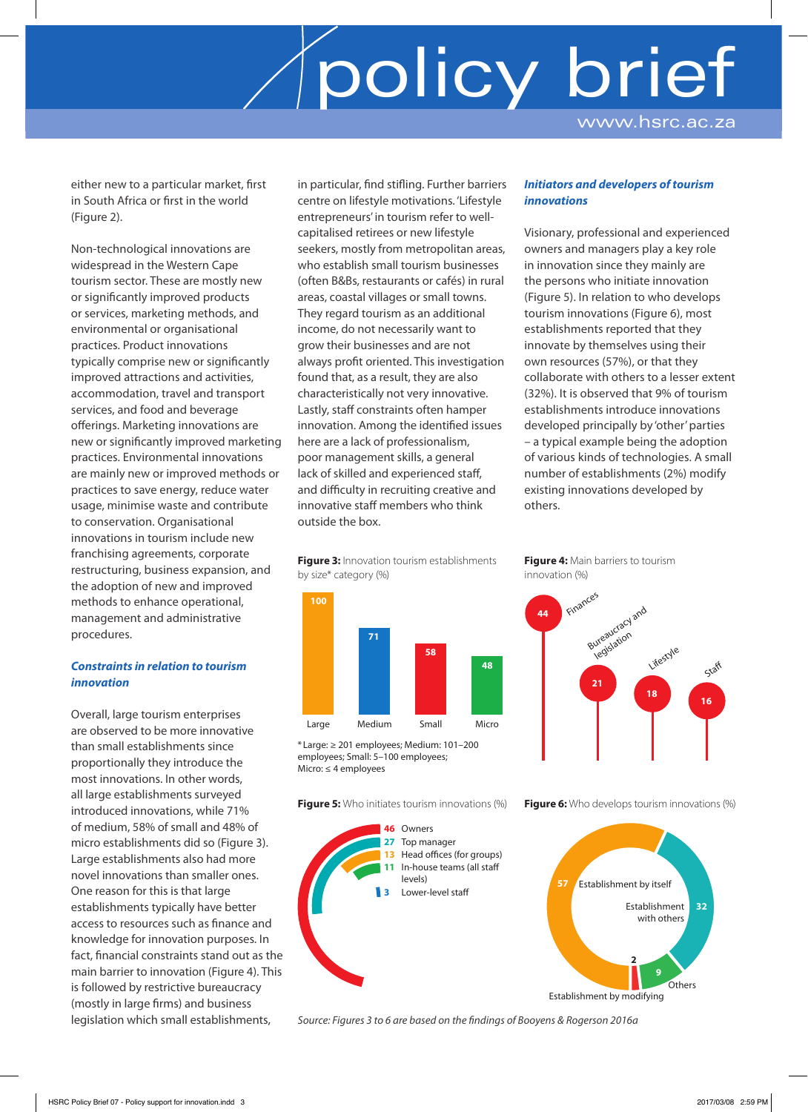# policy brief www.hsrc.ac.za

either new to a particular market, first in South Africa or first in the world (Figure 2).

Non-technological innovations are widespread in the Western Cape tourism sector. These are mostly new or significantly improved products or services, marketing methods, and environmental or organisational practices. Product innovations typically comprise new or significantly improved attractions and activities, accommodation, travel and transport services, and food and beverage offerings. Marketing innovations are new or significantly improved marketing practices. Environmental innovations are mainly new or improved methods or practices to save energy, reduce water usage, minimise waste and contribute to conservation. Organisational innovations in tourism include new franchising agreements, corporate restructuring, business expansion, and the adoption of new and improved methods to enhance operational, management and administrative procedures.

### *Constraints in relation to tourism innovation*

Overall, large tourism enterprises are observed to be more innovative than small establishments since proportionally they introduce the most innovations. In other words, all large establishments surveyed introduced innovations, while 71% of medium, 58% of small and 48% of micro establishments did so (Figure 3). Large establishments also had more novel innovations than smaller ones. One reason for this is that large establishments typically have better access to resources such as finance and knowledge for innovation purposes. In fact, financial constraints stand out as the main barrier to innovation (Figure 4). This is followed by restrictive bureaucracy (mostly in large firms) and business legislation which small establishments,

in particular, find stifling. Further barriers centre on lifestyle motivations. 'Lifestyle entrepreneurs' in tourism refer to wellcapitalised retirees or new lifestyle seekers, mostly from metropolitan areas, who establish small tourism businesses (often B&Bs, restaurants or cafés) in rural areas, coastal villages or small towns. They regard tourism as an additional income, do not necessarily want to grow their businesses and are not always profit oriented. This investigation found that, as a result, they are also characteristically not very innovative. Lastly, staff constraints often hamper innovation. Among the identified issues here are a lack of professionalism, poor management skills, a general lack of skilled and experienced staff, and difficulty in recruiting creative and innovative staff members who think outside the box.

**Figure 3:** Innovation tourism establishments by size\* category (%)



\* Large: ≥ 201 employees; Medium: 101–200 employees; Small: 5–100 employees; Micro: ≤ 4 employees

**Figure 5:** Who initiates tourism innovations (%)



### *Initiators and developers of tourism innovations*

Visionary, professional and experienced owners and managers play a key role in innovation since they mainly are the persons who initiate innovation (Figure 5). In relation to who develops tourism innovations (Figure 6), most establishments reported that they innovate by themselves using their own resources (57%), or that they collaborate with others to a lesser extent (32%). It is observed that 9% of tourism establishments introduce innovations developed principally by 'other' parties – a typical example being the adoption of various kinds of technologies. A small number of establishments (2%) modify existing innovations developed by others.

**Figure 4:** Main barriers to tourism innovation (%)



**Figure 6:** Who develops tourism innovations (%)



*Source: Figures 3 to 6 are based on the findings of Booyens & Rogerson 2016a*